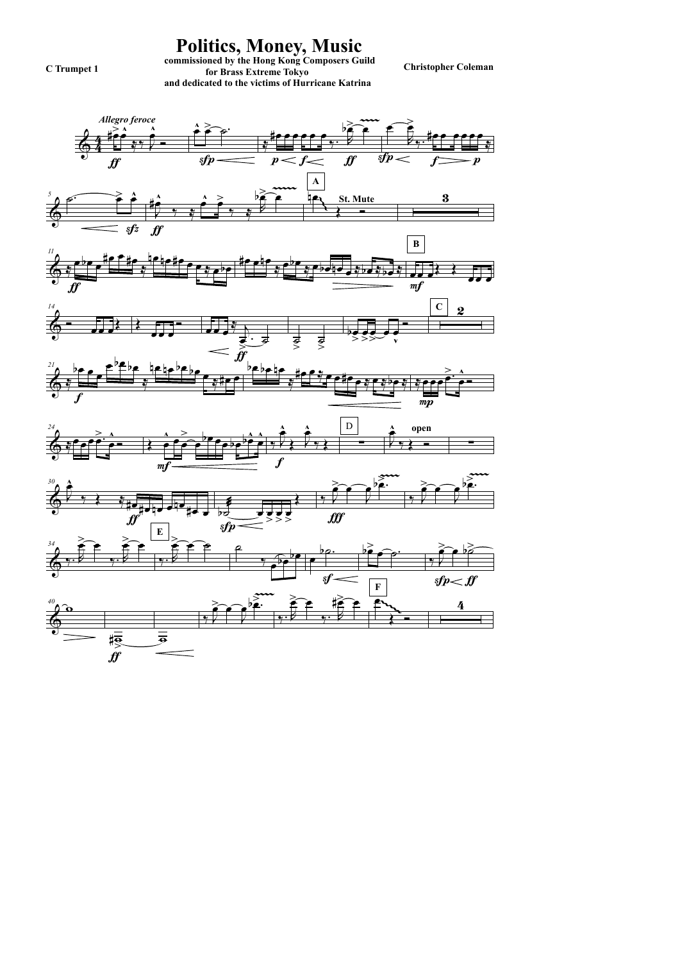

commissioned by the Hong Kong Composers Guild<br> **Christopher Coleman** coleman coleman for Brass Extreme Tokyo and dedicated to the victims of Hurricane Katrina

Politics, Money, Music

C Trumpet 1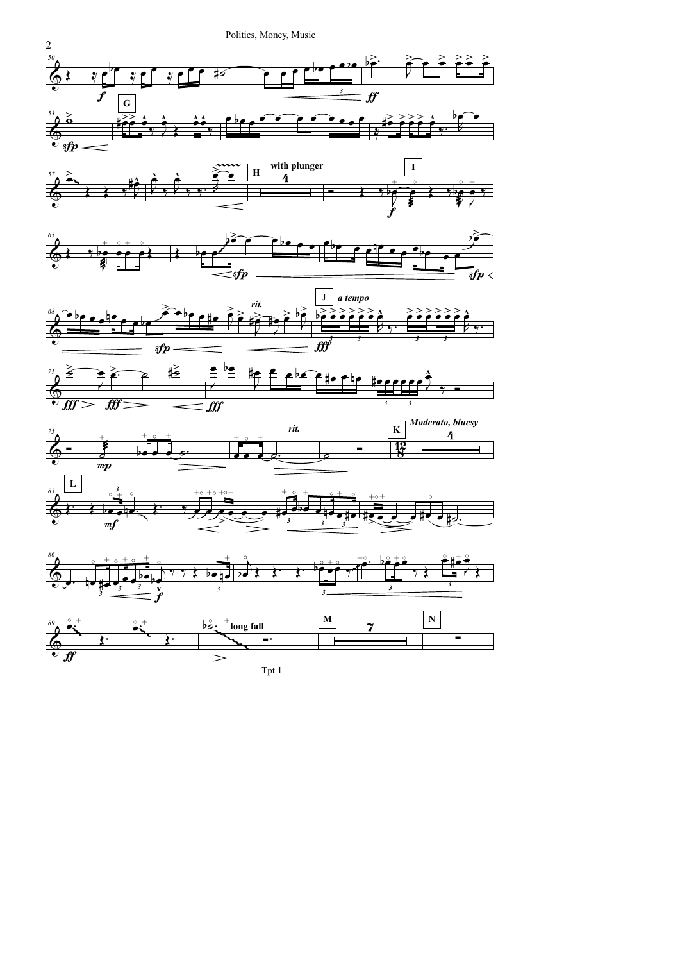Politics, Money, Music